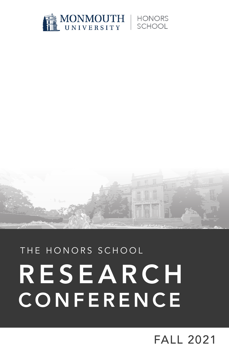



# THE HONORS SCHOOL RESEARCH **CONFERENCE**

## FALL 2021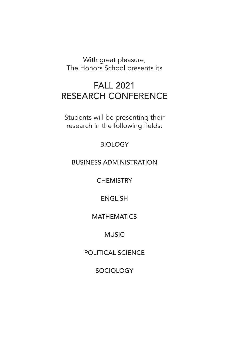With great pleasure, The Honors School presents its

## FALL 2021 RESEARCH CONFERENCE

Students will be presenting their research in the following fields:

**BIOLOGY** 

BUSINESS ADMINISTRATION

**CHEMISTRY** 

ENGLISH

#### **MATHEMATICS**

### MUSIC

POLITICAL SCIENCE

**SOCIOLOGY**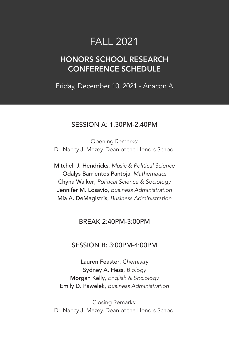## FALL 2021

## HONORS SCHOOL RESEARCH CONFERENCE SCHEDULE

Friday, December 10, 2021 - Anacon A

#### SESSION A: 1:30PM-2:40PM

Opening Remarks: Dr. Nancy J. Mezey, Dean of the Honors School

Mitchell J. Hendricks, *Music & Political Science* Odalys Barrientos Pantoja, *Mathematics* Chyna Walker, *Political Science & Sociology* Jennifer M. Losavio, *Business Administration* Mia A. DeMagistris, *Business Administration*

#### BREAK 2:40PM-3:00PM

#### SESSION B: 3:00PM-4:00PM

Lauren Feaster, *Chemistry* Sydney A. Hess, *Biology* Morgan Kelly, *English & Sociology* Emily D. Pawelek, *Business Administration*

Closing Remarks: Dr. Nancy J. Mezey, Dean of the Honors School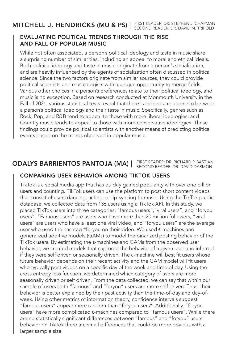#### MITCHELL J. HENDRICKS (MU & PS) | FIRST READER: DR. STEPHEN J. CHAPMAN SECOND READER: DR. DAVID M. TRIPOLD

#### EVALUATING POLITICAL TRENDS THROUGH THE RISE AND FALL OF POPULAR MUSIC

While not often associated, a person's political ideology and taste in music share a surprising number of similarities, including an appeal to moral and ethical ideals. Both political ideology and taste in music originate from a person's socialization, and are heavily influenced by the agents of socialization often discussed in political science. Since the two factors originate from similar sources, they could provide political scientists and musicologists with a unique opportunity to merge fields. Various other choices in a person's preferences relate to their political ideology, and music is no exception. Based on research conducted at Monmouth University in the Fall of 2021, various statistical tests reveal that there is indeed a relationship between a person's political ideology and their taste in music. Specifically, genres such as Rock, Pop, and R&B tend to appeal to those with more liberal ideologies, and Country music tends to appeal to those with more conservative ideologies. These findings could provide political scientists with another means of predicting political events based on the trends observed in popular music.

#### ODALYS BARRIENTOS PANTOJA (MA) | FIRST READER: DR. RICHARD P. BASTIAN SECOND READER: DR. DAVID DARMON

#### COMPARING USER BEHAVIOR AMONG TIKTOK USERS

TikTok is a social media app that has quickly gained popularity with over one billion users and counting. TikTok users can use the platform to post short content videos that consist of users dancing, acting, or lip-syncing to music. Using the TikTok public database, we collected data from 136 users using a TikTok API. In this study, we placed TikTok users into three categories: "famous users","viral users", and "foryou users". "Famous users" are users who have more than 20 million followers, "viral users" are users who have a least one viral video, and "foryou users" are the average user who used the hashtag #foryou on their video. We used  $\epsilon$ -machines and generalized additive models (GAMs) to model the binarized posting behavior of the TikTok users. By estimating the  $\epsilon$ -machines and GAMs from the observed user behavior, we created models that captured the behavior of a given user and inferred if they were self driven or seasonally driven. The  $\varepsilon$ -machine will best fit users whose future behavior depends on their recent activity and the GAM model will fit users who typically post videos on a specific day of the week and time of day. Using the cross entropy loss function, we determined which category of users are more seasonally driven or self driven. From the data collected, we can say that within our sample of users both "famous" and "foryou" users are more self driven. Thus, their behavior is better explained by their past activity than the time-of-day and day-ofweek. Using other metrics of information theory, confidence intervals suggest "famous users" appear more random than "foryou users". Additionally, "foryou users" have more complicated €-machines compared to "famous users". While there are no statistically significant differences between "famous" and "foryou" users' behavior on TikTok there are small differences that could be more obvious with a larger sample size.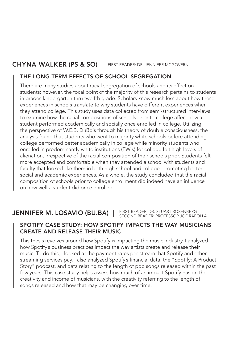#### CHYNA WALKER (PS & SO) | FIRST READER: DR. JENNIFER MCGOVERN

#### THE LONG-TERM EFFECTS OF SCHOOL SEGREGATION

There are many studies about racial segregation of schools and its effect on students; however, the focal point of the majority of this research pertains to students in grades kindergarten thru twelfth grade. Scholars know much less about how these experiences in schools translate to why students have different experiences when they attend college. This study uses data collected from semi-structured interviews to examine how the racial compositions of schools prior to college affect how a student performed academically and socially once enrolled in college. Utilizing the perspective of W.E.B. DuBois through his theory of double consciousness, the analysis found that students who went to majority white schools before attending college performed better academically in college while minority students who enrolled in predominantly white institutions (PWIs) for college felt high levels of alienation, irrespective of the racial composition of their schools prior. Students felt more accepted and comfortable when they attended a school with students and faculty that looked like them in both high school and college, promoting better social and academic experiences. As a whole, the study concluded that the racial composition of schools prior to college enrollment did indeed have an influence on how well a student did once enrolled.

#### JENNIFER M. LOSAVIO (BU.BA) | FIRST READER: DR. STUART ROSENBERG SECOND READER: PROFESSOR JOE RAPOLLA

#### SPOTIFY CASE STUDY: HOW SPOTIFY IMPACTS THE WAY MUSICIANS CREATE AND RELEASE THEIR MUSIC

This thesis revolves around how Spotify is impacting the music industry. I analyzed how Spotify's business practices impact the way artists create and release their music. To do this, I looked at the payment rates per stream that Spotify and other streaming services pay. I also analyzed Spotify's financial data, the "Spotify: A Product Story" podcast, and data relating to the length of pop songs released within the past few years. This case study helps assess how much of an impact Spotify has on the creativity and income of musicians, with the creativity referring to the length of songs released and how that may be changing over time.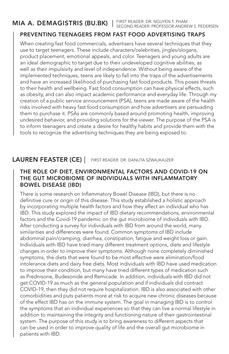#### MIA A. DEMAGISTRIS (BU.BK) |

FIRST READER: DR. NGUYEN T. PHAM SECOND READER: PROFESSOR ANDREW S. PEDERSEN

#### PREVENTING TEENAGERS FROM FAST FOOD ADVERTISING TRAPS

When creating fast food commercials, advertisers have several techniques that they use to target teenagers. These include characters/celebrities, jingles/slogans, product placement, emotional appeals, and color. Teenagers and young adults are an ideal demographic to target due to their undeveloped cognitive abilities, as well as their impulsivity and level of independence. Without being aware of the implemented techniques, teens are likely to fall into the traps of the advertisements and have an increased likelihood of purchasing fast food products. This poses threats to their health and wellbeing. Fast food consumption can have physical effects, such as obesity, and can also impact academic performance and everyday life. Through my creation of a public service announcement (PSA), teens are made aware of the health risks involved with heavy fast food consumption and how advertisers are persuading them to purchase it. PSAs are commonly based around promoting health, improving undesired behavior, and providing solutions for the viewer. The purpose of the PSA is to inform teenagers and create a desire for healthy habits and provide them with the tools to recognize the advertising techniques they are being exposed to.

#### LAUREN FEASTER (CE) | FIRST READER: DR. DANUTA SZWAJKAJZER

#### THE ROLE OF DIET, ENVIRONMENTAL FACTORS AND COVID-19 ON THE GUT MICROBIOME OF INDIVIDUALS WITH INFLAMMATORY BOWEL DISEASE (IBD)

There is some research on Inflammatory Bowel Disease (IBD), but there is no definitive cure or origin of this disease. This study established a holistic approach by incorporating multiple health factors and how they affect an individual who has IBD. This study explored the impact of IBD dietary recommendations, environmental factors and the Covid-19 pandemic on the gut microbiome of individuals with IBD. After conducting a survey for individuals with IBD from around the world, many similarities and differences were found. Common symptoms of IBD include abdominal pain/cramping, diarrhea, constipation, fatigue and weight loss or gain. Individuals with IBD have tried many different treatment options, diets and lifestyle changes in order to improve their symptoms. Although none completely diminished symptoms, the diets that were found to be most effective were elimination/food intolerance diets and dairy free diets. Most individuals with IBD have used medication to improve their condition, but many have tried different types of medication such as Prednisone, Budesonide and Remicade. In addition, individuals with IBD did not get COVID-19 as much as the general population and if individuals did contract COVID-19, then they did not require hospitalization. IBD is also associated with other comorbidities and puts patients more at risk to acquire new chronic diseases because of the effect IBD has on the immune system. The goal in managing IBD is to control the symptoms that an individual experiences so that they can live a normal lifestyle in addition to maintaining the integrity and functioning nature of their gastrointestinal system. The purpose of this study is to bring awareness to different aspects that can be used in order to improve quality of life and the overall gut microbiome in patients with IBD.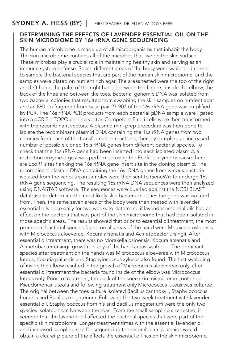### $\textsf{SYDNEY}\textsf{ A. HESS (BY)}$  | First reader: Dr. ellen w. doss-pepe

#### DETERMINING THE EFFECTS OF LAVENDER ESSENTIAL OIL ON THE SKIN MICROBIOME BY 16s rRNA GENE SEQUENCING

The human microbiome is made up of all microorganisms that inhabit the body. The skin microbiome contains all of the microbes that live on the skin surface. These microbes play a crucial role in maintaining healthy skin and serving as an immune system defense. Seven different areas of the body were swabbed in order to sample the bacterial species that are part of the human skin microbiome, and the samples were plated on nutrient rich agar. The areas tested were the top of the right and left hand, the palm of the right hand, between the fingers, inside the elbow, the back of the knee and between the toes. Bacterial genomic DNA was isolated from two bacterial colonies that resulted from swabbing the skin samples on nutrient agar and an 880 bp fragment from base pair 27-907 of the 16s rRNA gene was amplified by PCR. The 16s rRNA PCR products from each bacterial gDNA sample were ligated into a pCR 2.1 TOPO cloning vector. Competent E.coli cells were then transformed with the recombinant vectors. A plasmid mini prep procedure was then done to isolate the recombinant plasmid DNA containing the 16s rRNA genes from two colonies from each of the transformation reactions, thereby sampling an increased number of possible cloned 16 s rRNA genes from different bacterial species. To check that the 16s rRNA gene had been inserted into each isolated plasmid, a restriction enzyme digest was performed using the EcoR1 enzyme because there are EcoR1 sites flanking the 16s rRNA gene insert site in the cloning plasmid. The recombinant plasmid DNA containing the 16s rRNA genes from various bacteria isolated from the various skin samples were then sent to GeneWiz to undergo 16s rRNA gene sequencing. The resulting 16s rRNA DNA sequences were then analyzed using DNASTAR software. The sequences were queried against the NCBI BLAST database to determine the most likely skin bacterial species the gene was isolated from. Then, the same seven areas of the body were then treated with lavender essential oils once daily for two weeks to determine if lavender essential oils had an effect on the bacteria that was part of the skin microbiome that had been isolated in those specific areas. The results showed that prior to essential oil treatment, the most prominent bacterial species found on all areas of the hand were Moraxella osloensis with Micrococcus aloeverae, Kocura arsenatis and Acinetobacter ursingii. After essential oil treatment, there was no Moraxella osloensis, Kocura arsenatis and Acinetobacter ursingii growth on any of the hand areas swabbed. The dominant species after treatment on the hands was Micrococcus aloeverae with Micrococcus luteus, Kocuria palustris and Staphylococcus xylosus also found. The first swabbing of inside the elbow resulted in the growth of Micrococcus aloevereae only, after essential oil treatment the bacteria found inside of the elbow was Micrococcus luteus only. Prior to treatment, the back of the knee skin microbiome contained Pseudomonas luteola and following treatment only Micrococcus luteus was cultured. The original between the toes culture isolated Bacillus zanthoxyli, Staphylococcus hominis and Bacillus megaterium. Following the two week treatment with lavender essential oil, Staphylococcus hominis and Bacillus megaterium were the only two species isolated from between the toes. From the small sampling size tested, it seemed that the lavender oil affected the bacterial species that were part of the specific skin microbiome. Longer treatment times with the essential lavender oil and increased sampling size for sequencing the recombinant plasmids would obtain a clearer picture of the effects the essential oil has on the skin microbiome.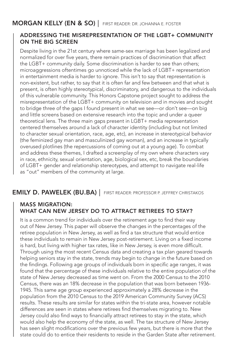#### $\mathsf{MORGAN}\ \mathsf{KELLY}\ \mathsf{(EN}\ \&\ \mathsf{SO})\ \mathsf{|}\ \mathsf{first}\ \mathsf{reader}\ \mathsf{DR}.\ \mathsf{JOHANNA}\ \mathsf{E}.\ \mathsf{FOSTER}$

#### ADDRESSING THE MISREPRESENTATION OF THE LGBT+ COMMUNITY ON THE BIG SCREEN

Despite living in the 21st century where same-sex marriage has been legalized and normalized for over five years, there remain practices of discrimination that affect the LGBT+ community daily. Some discrimination is harder to see than others; microaggressions oftentimes go unnoticed while the lack of LGBT+ representation in entertainment media is harder to ignore. This isn't to say that representation is non-existent, but rather, to say that it is often far and few between and that what is present, is often highly stereotypical, discriminatory, and dangerous to the individuals of this vulnerable community. This Honors Capstone project sought to address the misrepresentation of the LGBT+ community on television and in movies and sought to bridge three of the gaps I found present in what we see––or don't see––on big and little screens based on extensive research into the topic and under a queer theoretical lens. The three main gaps present in LGBT+ media representation centered themselves around a lack of character identity (including but not limited to character sexual orientation, race, age, etc), an increase in stereotypical behavior (the feminized gay man and masculinized gay woman), and an increase in typically overused plotlines (the repercussions of coming out at a young age). To combat and address these themes, I drafted a screenplay of my own where characters vary in race, ethnicity, sexual orientation, age, biological sex, etc, break the boundaries of LGBT+ gender and relationship stereotypes, and attempt to navigate real-life as "out" members of the community at large.

### **EMILY D. PAWELEK (BU.BA)** | FIRST READER: PROFESSOR P. JEFFREY CHRISTAKOS

#### MASS MIGRATION: WHAT CAN NEW JERSEY DO TO ATTRACT RETIREES TO STAY?

It is a common trend for individuals over the retirement age to find their way out of New Jersey. This paper will observe the changes in the percentages of the retiree population in New Jersey, as well as find a tax structure that would entice these individuals to remain in New Jersey post-retirement. Living on a fixed income is hard, but living with higher tax rates, like in New Jersey, is even more difficult. Through using the most recent Census data and creating a tax plan geared towards helping seniors stay in the state, trends may begin to change in the future based on the findings. Following age groups of individuals born in specific age ranges, it was found that the percentage of these individuals relative to the entire population of the state of New Jersey decreased as time went on. From the 2000 Census to the 2010 Census, there was an 18% decrease in the population that was born between 1936- 1945. This same age group experienced approximately a 28% decrease in the population from the 2010 Census to the 2019 American Community Survey (ACS) results. These results are similar for states within the tri-state area, however notable differences are seen in states where retirees find themselves migrating to. New Jersey could also find ways to financially attract retirees to stay in the state, which would also help the economy of the state, as well. The tax structure of New Jersey has seen slight modifications over the previous few years, but there is more that the state could do to entice their residents to reside in the Garden State after retirement.